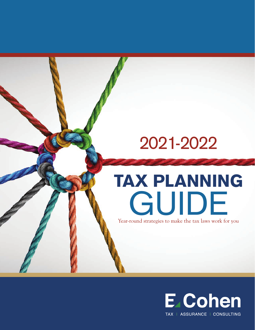# 2021 -2022

# TAX PLANNING GUIDE

Year-round strategies to make the tax laws work for you

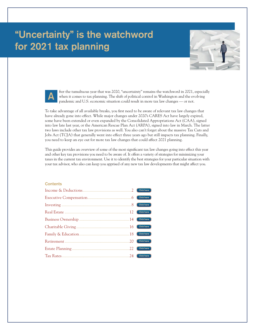# **"Uncertainty" is the watchword for 2021 tax planning**





fter the tumultuous year that was 2020, "uncertainty" remains the watchword in 2021, especially when it comes to tax planning. The shift of political control in Washington and the evolving pandemic and U.S. economic situation could result in more tax law changes — or not.

To take advantage of all available breaks, you first need to be aware of relevant tax law changes that have already gone into effect. While major changes under 2020's CARES Act have largely expired, some have been extended or even expanded by the Consolidated Appropriations Act (CAA), signed into law late last year, or the American Rescue Plan Act (ARPA), signed into law in March. The latter two laws include other tax law provisions as well. You also can't forget about the massive Tax Cuts and Jobs Act (TCJA) that generally went into effect three years ago but still impacts tax planning. Finally, you need to keep an eye out for more tax law changes that could affect 2021 planning.

This guide provides an overview of some of the most significant tax law changes going into effect this year and other key tax provisions you need to be aware of. It offers a variety of strategies for minimizing your taxes in the current tax environment. Use it to identify the best strategies for your particular situation with your tax advisor, who also can keep you apprised of any new tax law developments that might affect you.

#### **Contents**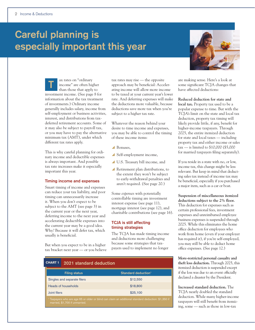# **Careful planning is especially important this year**



This is why careful planning for ordinary income and deductible expenses is always important. And possible tax rate increases make it especially important this year.

#### **Timing income and expenses**

Smart timing of income and expenses can reduce your tax liability, and poor timing can unnecessarily increase it. When you don't expect to be subject to the AMT (see page 3) in the current year or the next year, deferring income to the next year and accelerating deductible expenses into the current year may be a good idea. Why? Because it will defer tax, which usually is beneficial.

But when you expect to be in a higher tax bracket next year — or you believe tax rates may rise — the opposite approach may be beneficial: Accelerating income will allow more income to be taxed at your current year's lower rate. And deferring expenses will make the deductions more valuable, because deductions save more tax when you're subject to a higher tax rate.

Whatever the reason behind your desire to time income and expenses, you may be able to control the timing of these income items:

- Bonuses.
- $\blacktriangle$  Self-employment income,
- y U.S. Treasury bill income, and
- $\blacktriangle$  Retirement plan distributions, to the extent they won't be subject to early-withdrawal penalties and aren't required. (See page 20.)

Some *expenses* with potentially controllable timing are investment interest expense (see page 11), mortgage interest (see page 12), and charitable contributions (see page 16).

#### **TCJA is still affecting timing strategies**

The TCJA has made timing income and deductions more challenging because some strategies that taxpayers used to implement no longer

|                                                                                                                                     | <b>CHART 1</b><br>2021 standard deduction |                             |                                 |
|-------------------------------------------------------------------------------------------------------------------------------------|-------------------------------------------|-----------------------------|---------------------------------|
|                                                                                                                                     |                                           | <b>Filing status</b>        | Standard deduction <sup>1</sup> |
|                                                                                                                                     |                                           | Singles and separate filers | \$12,550                        |
|                                                                                                                                     |                                           | Heads of households         | \$18,800                        |
|                                                                                                                                     | Joint filers                              |                             | \$25,100                        |
| Taxpayers who are age 65 or older or blind can claim an additional standard deduction: \$1,350 if<br>married, \$1,700 if unmarried. |                                           |                             |                                 |



are making sense. Here's a look at some significant TCJA changes that have affected deductions:

**Reduced deduction for state and local tax.** Property tax used to be a popular expense to time. But with the TCJA's limit on the state and local tax deduction, property tax timing will likely provide little, if any, benefit for higher-income taxpayers. Through 2025, the entire itemized deduction for state and local taxes — including property tax and either income or sales tax — is limited to \$10,000 (\$5,000 for married taxpayers filing separately).

If you reside in a state with no, or low, income tax, this change might be less relevant. But keep in mind that deducting sales tax instead of income tax may be beneficial, especially if you purchased a major item, such as a car or boat.

**Suspension of miscellaneous itemized deductions subject to the 2% floor.** This deduction for expenses such as certain professional fees, investment expenses and unreimbursed employee business expenses is suspended through 2025. While this eliminates the home office deduction for employees who work from home (even if your employer has required it), if you're self-employed, you may still be able to deduct home office expenses. (See page 12.)

**More-restricted personal casualty and theft loss deduction.** Through 2025, this itemized deduction is suspended except if the loss was due to an event officially declared a disaster by the President.

**Increased standard deduction.** The TCJA nearly doubled the standard deduction. While many higher-income taxpayers will still benefit from itemizing, some — such as those in low-tax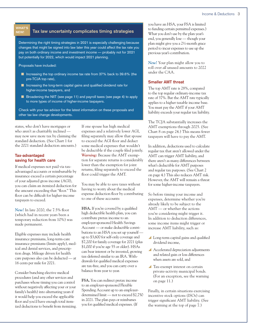#### WHAT'S NEW!

#### **Tax law uncertainty complicates timing strategies**

Determining the right timing strategies in 2021 is especially challenging because changes that might be signed into law later this year could affect the tax rate you pay on both ordinary income and investment income — probably not for 2021 but potentially for 2022, which would impact 2021 planning.

Proposals have included:

- Increasing the top ordinary income tax rate from 37% back to 39.6% (the pre-TCJA top rate),
- $\blacksquare$  Increasing the long-term capital gains and qualified dividend rate for higher-income taxpayers, and
- Broadening the NIIT (see page 11) and payroll taxes (see page 4) to apply to more types of income of higher-income taxpayers.

Check with your tax advisor for the latest information on these proposals and other tax law change developments.

states, who don't have mortgages or who aren't as charitably inclined may now save more tax by claiming the standard deduction. (See Chart 1 for the 2021 standard deduction amounts.)

### **Tax-advantaged saving for health care**

If medical expenses not paid via taxadvantaged accounts or reimbursable by insurance exceed a certain percentage of your adjusted gross income (AGI), you can claim an itemized deduction for the amount exceeding that "floor." This floor can be difficult for higher-income taxpayers to exceed.

*New!* In late 2020, the 7.5% floor (which had in recent years been a temporary reduction from 10%) was made permanent.

Eligible expenses may include health insurance premiums, long-term-care insurance premiums (limits apply), medical and dental services, and prescription drugs. Mileage driven for health care purposes also can be deducted — at 16 cents per mile for 2021.

Consider bunching elective medical procedures (and any other services and purchases whose timing you can control without negatively affecting your or your family's health) into alternating years if it would help you exceed the applicable floor and you'd have enough total itemized deductions to benefit from itemizing. If one spouse has high medical expenses and a relatively lower AGI, filing separately may allow that spouse to exceed the AGI floor and deduct some medical expenses that wouldn't be deductible if the couple filed jointly. *Warning:* Because the AMT exemption for separate returns is considerably lower than the exemption for joint returns, filing separately to exceed the floor could trigger the AMT.

You may be able to save taxes without having to worry about the medical expense deduction floor by contributing to one of these accounts:

**HSA.** If you're covered by a qualified high deductible health plan, you can contribute pretax income to an employer-sponsored Health Savings Account — or make deductible contributions to an HSA you set up yourself up to \$3,600 for self-only coverage and \$7,200 for family coverage for 2021 (plus \$1,000 if you're age 55 or older). HSAs can bear interest or be invested, growing tax-deferred similar to an IRA. Withdrawals for qualified medical expenses are tax-free, and you can carry over a balance from year to year.

**FSA.** You can redirect pretax income to an employer-sponsored Flexible Spending Account up to an employerdetermined limit — not to exceed \$2,750 in 2021. The plan pays or reimburses you for qualified medical expenses. (If

you have an HSA, your FSA is limited to funding certain permitted expenses.) What you don't use by the plan year's end, you generally lose — though your plan might give you a 2½-month grace period to incur expenses to use up the previous year's contribution.

*New!* Your plan might allow you to roll over *all* unused amounts to 2022 under the CAA.

#### **Smaller AMT threat**

The top AMT rate is 28%, compared to the top regular ordinary-income tax rate of 37%. But the AMT rate typically applies to a higher taxable income base. You must pay the AMT if your AMT liability exceeds your regular tax liability.

The TCJA substantially increases the AMT exemptions through 2025. (See Chart 8 on page 24.) This means fewer taxpayers will have to pay the AMT.

In addition, deductions used to calculate regular tax that aren't allowed under the AMT can trigger AMT liability, and there aren't as many differences between what's deductible for AMT purposes and regular tax purposes. (See Chart 2 on page 4.) This also reduces AMT risk. However, the AMT will remain a threat for some higher-income taxpayers.

So before timing your income and expenses, determine whether you're already likely to be subject to the AMT — or whether the actions you're considering might trigger it. In addition to deduction differences, some income items might trigger or increase AMT liability, such as:

- $\blacktriangle$  Long-term capital gains and qualified dividend income,
- $\blacktriangle$  Accelerated depreciation adjustments and related gain or loss differences when assets are sold, and
- $\blacksquare$  Tax-exempt interest on certain private-activity municipal bonds. (For an exception, see the warning on page 11.)

Finally, in certain situations exercising incentive stock options (ISOs) can trigger significant AMT liability. (See the warning at the top of page 7.)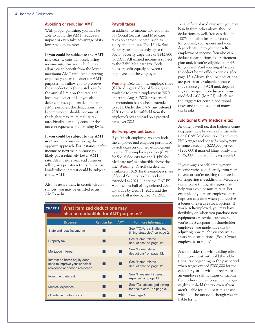#### **Avoiding or reducing AMT**

With proper planning, you may be able to avoid the AMT, reduce its impact or even take advantage of its lower maximum rate:

**If you could be subject to the AMT**  *this* **year …** consider accelerating income into this year, which may allow you to benefit from the lower maximum AMT rate. And deferring expenses you can't deduct for AMT purposes may allow you to preserve those deductions (but watch out for the annual limit on the state and local tax deduction). If you also defer expenses you *can* deduct for AMT purposes, the deductions may become more valuable because of the higher maximum regular tax rate. Finally, carefully consider the tax consequences of exercising ISOs.

**If you could be subject to the AMT**  *next* **year …** consider taking the opposite approach. For instance, defer income to next year, because you'll likely pay a relatively lower AMT rate. Also, before year end consider selling any private-activity municipal bonds whose interest could be subject to the AMT.

Also be aware that, in certain circumstances, you may be entitled to an AMT credit.

#### **Payroll taxes**

In addition to income tax, you must pay Social Security and Medicare taxes on earned income, such as salary and bonuses. The 12.4% Social Security tax applies only up to the Social Security wage base of \$142,800 for 2021. All earned income is subject to the 2.9% Medicare tax. Both taxes are split equally between the employee and the employer.

*Warning:* Deferral of the employ*ee* share (6.2% of wages) of Social Security tax available to certain employees in 2020 under the Aug. 8, 2020, presidential memorandum has *not* been extended to 2021. Under the CAA, any deferred 2020 tax must be withheld from the employee's pay and paid on a prorated basis over 2021.

#### **Self-employment taxes**

If you're self-employed, you pay both the employee and employer portions of payroll taxes on your self-employment income. The employ*er* portion (6.2% for Social Security tax and 1.45% for Medicare tax) is deductible above the line. *Warning:* Payroll tax deferral available in 2020 for the employ*er* share of Social Security tax has *not* been extended to 2021. Under the CARES Act, the first half of any deferred 2020 tax is due by Dec. 31, 2021, and the second half is due by Dec. 31, 2022.

As a self-employed taxpayer, you may benefit from other above-the-line deductions as well. You can deduct 100% of health insurance costs for yourself, your spouse and your dependents, up to your net selfemployment income. You also can deduct contributions to a retirement plan and, if you're eligible, an HSA for yourself. And you might be able to deduct home office expenses. (See page 12.) Above-the-line deductions are particularly valuable because they reduce your AGI and, depending on the specific deduction, your modified AGI (MAGI), which are the triggers for certain additional taxes and the phaseouts of many tax breaks.

#### **Additional 0.9% Medicare tax**

Another payroll tax that higher-income taxpayers must be aware of is the additional 0.9% Medicare tax. It applies to FICA wages and net self-employment income exceeding \$200,000 per year (\$250,000 if married filing jointly and \$125,000 if married filing separately).

If your wages or self-employment income varies significantly from year to year or you're nearing the threshold for triggering the additional Medicare tax, income timing strategies may help you avoid or minimize it. For example, if you're an employee, perhaps you can time when you receive a bonus or exercise stock options. If you're self-employed, you may have flexibility on when you purchase new equipment or invoice customers. If you're an S corporation shareholderemployee, you might save tax by adjusting how much you receive as salary vs. distributions. (See "Owneremployees" at right.)

Also consider the withholding rules. Employers must withhold the additional tax beginning in the pay period when wages exceed \$200,000 for the calendar year — without regard to an employee's filing status or income from other sources. So your employer might withhold the tax even if you aren't liable for it — or it might *not* withhold the tax even though you *are* liable for it.

#### **What itemized deductions may also be deductible for AMT purposes?** CHART 2

| <b>Expense</b>                                                                                  | <b>Regular tax</b> | <b>AMT</b> | For more information                                          |
|-------------------------------------------------------------------------------------------------|--------------------|------------|---------------------------------------------------------------|
| State and local income tax                                                                      |                    |            | See "TCJA is still affecting<br>timing strategies" on page 2. |
| <b>Property tax</b>                                                                             |                    |            | See "Home-related<br>deductions" on page 12.                  |
| Mortgage interest                                                                               |                    |            | See "Home-related<br>deductions" on page 12.                  |
| Interest on home equity debt<br>used to improve your principal<br>residence or second residence |                    |            | See "Home-related<br>deductions" on page 12.                  |
| Investment interest                                                                             |                    |            | See "Investment interest"<br>expense" on page 11.             |
| <b>Medical expenses</b>                                                                         |                    |            | See "Tax-advantaged saving<br>for health care" on page 3.     |
| Charitable contributions                                                                        |                    |            | See page 16.                                                  |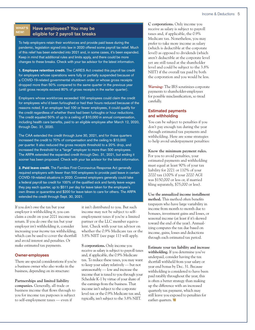#### WHAT'S NEW!

## **Have employees? You may be eligible for 2 payroll tax breaks**

To help employers retain their workforces and provide paid leave during the pandemic, legislation signed into law in 2020 offered some payroll tax relief. Much of this relief has been extended into 2021 and, in some cases, it's been expanded. Keep in mind that additional rules and limits apply, and there could be more changes to these breaks. Check with your tax advisor for the latest information.

1. **Employee retention credit.** The CARES Act created this payroll tax credit for employers whose operations were fully or partially suspended because of a COVID-19-related governmental shutdown order or whose gross receipts dropped more than 50% compared to the same quarter in the previous year (until gross receipts exceed 80% of gross receipts in the earlier quarter).

Employers whose workforces exceeded 100 employees could claim the credit for employees who'd been furloughed or had their hours reduced because of the reasons noted. If an employer had 100 or fewer employees, it could qualify for the credit regardless of whether there had been furloughs or hour reductions. The credit equaled 50% of up to a ceiling of \$10,000 in annual compensation, including health care benefits, paid to an eligible employee after March 12, 2020, through Dec. 31, 2020.

The CAA extended the credit through June 30, 2021, and for those quarters increased the credit to 70% of compensation and the ceiling to \$10,000 *per quarter.* It also reduced the gross receipts threshold to a 20% drop, and increased the threshold for a "large" employer to more than 500 employees. The ARPA extended the expanded credit through Dec. 31, 2021, but ending it sooner has been proposed. Check with your tax advisor for the latest information.

2. Paid leave credit. The Families First Coronavirus Response Act generally required employers with fewer than 500 employees to provide paid leave in certain COVID-19-related situations in 2020. Covered employers generally could take a federal payroll tax credit for 100% of the qualified sick and family leave wages they pay each quarter, up to \$511 per day for leave taken for the employee's own illness or quarantine and \$200 for leave taken to care for others. The ARPA extended the credit through Sept. 30, 2021.

If you *don't* owe the tax but your employer *is* withholding it, you can claim a credit on your 2021 income tax return. If you *do* owe the tax but your employer *isn't* withholding it, consider increasing your *income* tax withholding, which can be used to cover the shortfall and avoid interest and penalties. Or make estimated tax payments.

#### **Owner-employees**

There are special considerations if you're a business owner who also works in the business, depending on its structure:

**Partnerships and limited liability companies.** Generally, all trade or business income that flows through to you for income tax purposes is subject to self-employment taxes — even if

it isn't distributed to you. But such income may not be subject to selfemployment taxes if you're a limited partner or the LLC member equivalent. Check with your tax advisor on whether the 0.9% Medicare tax or the 3.8% NIIT (see page 11) will apply.

**S corporations.** Only income you receive as salary is subject to payroll taxes and, if applicable, the 0.9% Medicare tax. To reduce these taxes, you may want to keep your salary relatively — but not unreasonably — low and increase the income that is taxed to you through your Schedule K-1 by virtue of your share of the earnings from the business. That income isn't subject to the corporate level tax or the 0.9% Medicare tax and, typically, isn't subject to the 3.8% NIIT.

**C corporations.** Only income you receive as salary is subject to payroll taxes and, if applicable, the 0.9% Medicare tax. Nonetheless, you may prefer to take more income as salary (which is deductible at the corporate level) as opposed to dividends (which aren't deductible at the corporate level yet are still taxed at the shareholder level and could be subject to the 3.8% NIIT) if the overall tax paid by both the corporation and you would be less.

*Warning:* The IRS scrutinizes corporate payments to shareholder-employees for possible misclassification, so tread carefully.

#### **Estimated payments and withholding**

You can be subject to penalties if you don't pay enough tax during the year through estimated tax payments and withholding. Here are some strategies to help avoid underpayment penalties:

#### **Know the minimum payment rules.**

For you to avoid penalties, your estimated payments and withholding must equal at least 90% of your tax liability for 2021 or 110% of your 2020 tax (100% if your 2020 AGI was \$150,000 or less or, if married filing separately, \$75,000 or less).

**Use the annualized income installment method.** This method often benefits taxpayers who have large variability in income from month to month due to bonuses, investment gains and losses, or seasonal income (at least if it's skewed toward the end of the year). Annualizing computes the tax due based on income, gains, losses and deductions through each estimated tax period.

**Estimate your tax liability and increase withholding.** If you determine you've underpaid, consider having the tax shortfall withheld from your salary or year end bonus by Dec. 31. Because withholding is considered to have been paid ratably throughout the year, this is often a better strategy than making up the difference with an increased quarterly tax payment, which may still leave you exposed to penalties for earlier quarters.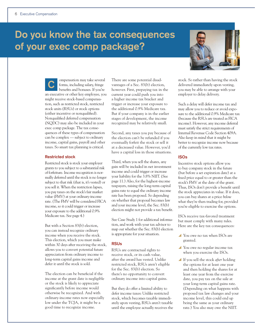# **Do you know the tax consequences of your exec comp package?**

ompensation may take several forms, including salary, fringe benefits and bonuses. If you're an executive or other key employee, you might receive stock-based compensation, such as restricted stock, restricted stock units (RSUs) or stock options (either incentive or nonqualified). Nonqualified deferred compensation (NQDC) may also be included in your exec comp package. The tax consequences of these types of compensation can be complex — subject to ordinary income, capital gains, payroll and other taxes. So smart tax planning is critical. **C**

#### **Restricted stock**

Restricted stock is stock your employer grants to you subject to a substantial risk of forfeiture. Income recognition is normally deferred until the stock is no longer subject to that risk (that is, it's vested) or you sell it. When the restriction lapses, you pay taxes on the stock's fair market value (FMV) at your ordinary-income rate. (The FMV will be considered FICA income, so it could trigger or increase your exposure to the additional 0.9% Medicare tax. See page 4.)

But with a Section 83(b) election, you can instead recognize ordinary income when you receive the stock. This election, which you must make within 30 days after receiving the stock, allows you to convert potential future appreciation from ordinary income to long-term capital gains income and defer it until the stock is sold.

The election can be beneficial if the income at the grant date is negligible or the stock is likely to appreciate significantly before income would otherwise be recognized. And with ordinary-income rates now especially low under the TCJA, it might be a good time to recognize income.

There are some potential disadvantages of a Sec. 83(b) election, however. First, prepaying tax in the current year could push you into a higher income tax bracket and trigger or increase your exposure to the additional 0.9% Medicare tax. But if your company is in the earlier stages of development, the income recognized may be relatively small.

Second, any taxes you pay because of the election can't be refunded if you eventually forfeit the stock or sell it at a decreased value. However, you'd have a capital loss in those situations.

Third, when you sell the shares, any gain will be included in net investment income and could trigger or increase your liability for the 3.8% NIIT. (See page 11.) Also, for the highest-income taxpayers, raising the long-term capital gains rate to equal the ordinary income rate has been proposed. So depending on whether that proposal becomes law and your income level, the Sec. 83(b) election might not provide a tax benefit.

See Case Study 1 for additional information, and work with your tax advisor to map out whether the Sec. 83(b) election is appropriate for your situation.

#### **RSUs**

RSUs are contractual rights to receive stock, or its cash value, after the award has vested. Unlike restricted stock, RSUs aren't eligible for the Sec. 83(b) election. So there's no opportunity to convert ordinary income into capital gains.

But they do offer a limited ability to defer income taxes: Unlike restricted stock, which becomes taxable immediately upon vesting, RSUs aren't taxable until the employee actually receives the



stock. So rather than having the stock delivered immediately upon vesting, you may be able to arrange with your employer to delay delivery.

Such a delay will defer income tax and may allow you to reduce or avoid exposure to the additional 0.9% Medicare tax (because the RSUs are treated as FICA income). However, any income deferral must satisfy the strict requirements of Internal Revenue Code Section 409A. Also keep in mind that it might be better to recognize income now because of the currently low tax rates.

#### **ISOs**

Incentive stock options allow you to buy company stock in the future (but before a set expiration date) at a fixed price equal to or greater than the stock's FMV at the date of the grant. Thus, ISOs don't provide a benefit until the stock appreciates in value. If it does, you can buy shares at a price *below* what they're then trading for, provided you're eligible to exercise the options.

ISOs receive tax-favored treatment but must comply with many rules. Here are the key tax consequences:

- You owe no tax when ISOs are granted.
- You owe no regular income tax when you exercise the ISOs.
- y If you sell the stock *after* holding the options for at least one year and then holding the shares for at least one year from the exercise date, you pay tax on the sale at your long-term capital gains rate. (Depending on what happens with proposed tax law changes and your income level, this could end up being the same as your ordinary rate.) You also may owe the NIIT.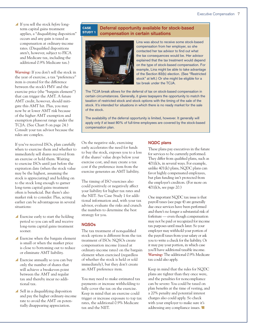y If you sell the stock *before* longterm capital gains treatment applies, a "disqualifying disposition" occurs and any gain is taxed as compensation at ordinary-income rates. (Disqualified dispositions aren't, however, subject to FICA and Medicare tax, including the additional 0.9% Medicare tax.)

*Warning:* If you don't sell the stock in the year of exercise, a tax "preference" item is created for the difference between the stock's FMV and the exercise price (the "bargain element") that can trigger the AMT. A future AMT credit, however, should mitigate this AMT hit. Plus, you may now be at lower AMT risk because of the higher AMT exemption and exemption phaseout range under the TCJA. (See Chart 8 on page 24.) Consult your tax advisor because the rules are complex.

If you've received ISOs, plan carefully when to exercise them and whether to immediately sell shares received from an exercise or hold them. Waiting to exercise ISOs until just before the expiration date (when the stock value may be the highest, assuming the stock is appreciating) and holding on to the stock long enough to garner long-term capital gains treatment often is beneficial. But there's also market risk to consider. Plus, acting earlier can be advantageous in several situations:

- $\blacktriangle$  Exercise early to start the holding period so you can sell and receive long-term capital gains treatment sooner.
- $\blacktriangle$  Exercise when the bargain element is small or when the market price is close to bottoming out to reduce or eliminate AMT liability.
- $\blacktriangle$  Exercise annually so you can buy only the number of shares that will achieve a breakeven point between the AMT and regular tax and thereby incur no additional tax.
- $\blacktriangle$  Sell in a disqualifying disposition and pay the higher ordinary-income rate to avoid the AMT on potentially disappearing appreciation.

#### **Deferral opportunity available for stock-based compensation in certain situations CASE** STUDY 1



Lina was about to receive some stock-based compensation from her employer, so she contacted her tax advisor to find out what the tax consequences would be. Her advisor explained that the tax treatment would depend on the type of stock-based compensation. For example, Lina might be able to take advantage of the Section 83(b) election. (See "Restricted stock" at left.) Or she might be eligible for a tax break under the TCJA.

The TCJA break allows for the deferral of tax on stock-based compensation in certain circumstances. Generally, it gives taxpayers the opportunity to match the taxation of restricted stock and stock options with the timing of the sale of the stock. It's intended for situations in which there is no ready market for the sale of the stock.

The availability of the deferral opportunity is limited, however. It generally will apply only if at least 80% of full-time employees are covered by the stock-based compensation plan.

On the negative side, exercising early accelerates the need for funds to buy the stock, exposes you to a loss if the shares' value drops below your exercise cost, and may create a tax cost if the preference item from the exercise generates an AMT liability.

The timing of ISO exercises also could positively or negatively affect your liability for higher tax rates and the NIIT. See Case Study 1 for additional information and, with your tax advisor, evaluate the risks and crunch the numbers to determine the best strategy for you.

### **NQSOs**

The tax treatment of nonqualified stock options is different from the tax treatment of ISOs: NQSOs create compensation income (taxed at ordinary-income rates) on the bargain element when exercised (regardless of whether the stock is held or sold immediately), but they don't create an AMT preference item.

You may need to make estimated tax payments or increase withholding to fully cover the tax on the exercise. Keep in mind that an exercise could trigger or increase exposure to top tax rates, the additional 0.9% Medicare tax and the NIIT.

#### **NQDC plans**

These plans pay executives in the future for services to be currently performed. They differ from qualified plans, such as 401(k)s, in several ways. For example, unlike 401(k) plans, NQDC plans can favor highly compensated employees, but plan funding isn't protected from the employer's creditors. (For more on 401(k)s, see page 20.)

One important NQDC tax issue is that payroll taxes (see page 4) are generally due once services have been performed and there's no longer a substantial risk of forfeiture — even though compensation may not be paid or recognized for income tax purposes until much later. So your employer may withhold your portion of the payroll taxes from your salary or ask you to write a check for the liability. Or it may pay your portion, in which case you'll have additional taxable income. *Warning:* The additional 0.9% Medicare tax could also apply.

Keep in mind that the rules for NQDC plans are tighter than they once were, and the penalties for noncompliance can be severe: You could be taxed on plan benefits at the time of vesting, and a 20% penalty and potential interest charges also could apply. So check with your employer to make sure it's addressing any compliance issues.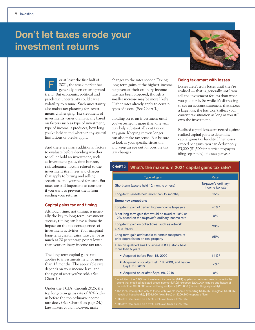# **Don't let taxes erode your investment returns**



or at least the first half of 2021, the stock market has generally been on an upward trend. But economic, political and pandemic uncertainty could cause volatility to resume. Such uncertainty also makes tax planning for investments challenging. Tax treatment of investments varies dramatically based on factors such as type of investment, type of income it produces, how long you've held it and whether any special limitations or breaks apply. **F**

And there are many additional factors to evaluate before deciding whether to sell or hold an investment, such as investment goals, time horizon, risk tolerance, factors related to the investment itself, fees and charges that apply to buying and selling securities, and your need for cash. But taxes are still important to consider if you want to prevent them from eroding your returns.

#### **Capital gains tax and timing**

Although time, not timing, is generally the key to long-term investment success, timing can have a dramatic impact on the tax consequences of investment activities. Your marginal long-term capital gains rate can be as much as 20 percentage points lower than your ordinary-income tax rate.

The long-term capital gains rate applies to investments held for more than 12 months. The applicable rate depends on your income level and the type of asset you've sold. (See Chart 3.)

Under the TCJA, through 2025, the top long-term gains rate of 20% kicks in before the top ordinary-income rate does. (See Chart 8 on page 24.) Lawmakers could, however, make

changes to the rates sooner. Taxing long-term gains of the highest-income taxpayers at their ordinary-income rate has been proposed, though a smaller increase may be more likely. Higher rates already apply to certain types of assets. (See Chart 3.)

Holding on to an investment until you've owned it more than one year may help substantially cut tax on any gain. Keeping it even longer can also make tax sense. But be sure to look at your specific situation, and keep an eye out for possible tax law changes.

#### **Being tax-smart with losses**

Losses aren't truly losses until they're realized — that is, generally until you sell the investment for less than what you paid for it. So while it's distressing to see an account statement that shows a large loss, the loss won't affect your current tax situation as long as you still own the investment.

Realized capital losses are netted against realized capital gains to determine capital gains tax liability. If net losses exceed net gains, you can deduct only \$3,000 (\$1,500 for married taxpayers filing separately) of losses per year

## CHART 3 **What's the maximum 2021 capital gains tax rate?**

| Type of gain                                                                                          | Rate <sup>1</sup>                       |
|-------------------------------------------------------------------------------------------------------|-----------------------------------------|
| Short-term (assets held 12 months or less)                                                            | Taxpayer's ordinary-<br>income tax rate |
| Long-term (assets held more than 12 months)                                                           | 15%                                     |
| Some key exceptions                                                                                   |                                         |
| Long-term gain of certain higher-income taxpayers                                                     | $20%$ <sup>2</sup>                      |
| Most long-term gain that would be taxed at 10% or<br>12% based on the taxpayer's ordinary-income rate | 0%                                      |
| Long-term gain on collectibles, such as artwork<br>and antiques                                       | 28%                                     |
| Long-term gain attributable to certain recapture of<br>prior depreciation on real property            | 25%                                     |
| Gain on qualified small business (QSB) stock held<br>more than 5 years                                |                                         |
| Acquired before Feb. 18, 2009                                                                         | $14\%$ <sup>3</sup>                     |
| ■ Acquired on or after Feb. 18, 2009, and before<br>Sept. 28, 2010                                    | $7\%$ <sup>4</sup>                      |
| ■ Acquired on or after Sept. 28, 2010                                                                 | 0%                                      |

extent that modified adjusted gross income (MAGI) exceeds \$200,000 (singles and heads of households), \$250,000 (married filing jointly) or \$125,000 (married filing separately).

 The 20% rate applies only to those with taxable income exceeding \$445,850 (singles), \$473,750 Eur nousenoids), \$501,600 (joint filers) or \$250,800<br>ve rate based on a 50% exclusion from a 28% rate.<br>ve sete besure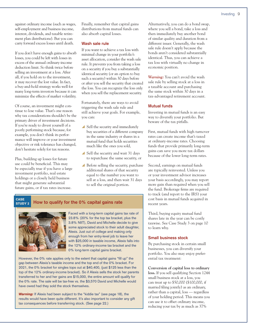against ordinary income (such as wages, self-employment and business income, interest, dividends, and taxable retirement plan distributions). But you can carry forward excess losses until death.

If you don't have enough gains to absorb losses, you could be left with losses in excess of the annual ordinary-income deduction limit. So think twice before selling an investment at a loss. After all, if you hold on to the investment, it may recover the lost value. In fact, a buy-and-hold strategy works well for many long-term investors because it can minimize the effects of market volatility.

Of course, an investment might continue to lose value. That's one reason why tax considerations shouldn't be the primary driver of investment decisions. If you're ready to divest yourself of a poorly performing stock because, for example, you don't think its performance will improve or your investment objective or risk tolerance has changed, don't hesitate solely for tax reasons.

Plus, building up losses for future use could be beneficial. This may be especially true if you have a large investment portfolio, real estate holdings or a closely held business that might generate substantial future gains, or if tax rates increase.

Finally, remember that capital gains distributions from mutual funds can also absorb capital losses.

#### **Wash sale rule**

If you want to achieve a tax loss with minimal change in your portfolio's asset allocation, consider the wash sale rule. It prevents you from taking a loss on a security if you buy a substantially identical security (or an option to buy such a security) within 30 days before or after you sell the security that created the loss. You can recognize the loss only when you sell the replacement security.

Fortunately, there are ways to avoid triggering the wash sale rule and still achieve your goals. For example, you can:

- Sell the security and immediately buy securities of a different company in the same industry or shares in a mutual fund that holds securities much like the ones you sold,
- $\blacktriangle$  Sell the security and wait 31 days to repurchase the same security, or
- $\blacktriangle$  Before selling the security, purchase additional shares of that security equal to the number you want to sell at a loss, and then wait 31 days to sell the original portion.

#### **How to qualify for the 0% capital gains rate** STUDY 2



Faced with a long-term capital gains tax rate of 23.8% (20% for the top tax bracket, plus the 3.8% NIIT), David and Michelle decide to give some appreciated stock to their adult daughter, Alexis. Just out of college and making only enough from her entry-level job to leave her with \$25,000 in taxable income, Alexis falls into the 12% ordinary-income tax bracket and the 0% long-term capital gains bracket.

However, the 0% rate applies only to the extent that capital gains "fill up" the gap between Alexis's taxable income and the top end of the 0% bracket. For 2021, the 0% bracket for singles tops out at \$40,400, (just \$125 less than the top of the 12% ordinary-income bracket). So if Alexis sells the stock her parents transferred to her and her gains are \$15,000, the entire amount will qualify for the 0% rate. The sale will be tax-free vs. the \$3,570 David and Michelle would have owed had they sold the stock themselves.

*Warning:* If Alexis had been subject to the "kiddie tax" (see page 18), the results would have been quite different. It's also important to consider any gift tax consequences before transferring stock. (See page 22.)

Alternatively, you can do a bond swap, where you sell a bond, take a loss and then immediately buy another bond of similar quality and duration from a different issuer. Generally, the wash sale rule doesn't apply because the bonds aren't considered substantially identical. Thus, you can achieve a tax loss with virtually no change in economic position.

*Warning:* You can't avoid the wash sale rule by selling stock at a loss in a taxable account and purchasing the same stock within 30 days in a tax-advantaged retirement account.

#### **Mutual funds**

Investing in mutual funds is an easy way to diversify your portfolio. But beware of the tax pitfalls.

First, mutual funds with high turnover rates can create income that's taxed at ordinary-income rates. Choosing funds that provide primarily long-term gains can save you more tax dollars because of the lower long-term rates.

Second, earnings on mutual funds are typically reinvested. Unless you or your investment advisor increases your basis accordingly, you may report more gain than required when you sell the fund. Brokerage firms are required to track (and report to the IRS) your cost basis in mutual funds acquired in recent years.

Third, buying equity mutual fund shares late in the year can be costly taxwise. See Case Study 3 on page 10 to learn why.

#### **Small business stock**

By purchasing stock in certain small businesses, you can diversify your portfolio. You also may enjoy preferential tax treatment:

**Conversion of capital loss to ordinary loss.** If you sell qualifying Section 1244 small business stock at a loss, you can treat up to \$50,000 (\$100,000, if married filing jointly) as an ordinary, rather than a capital, loss — regardless of your holding period. This means you can use it to offset ordinary income, reducing your tax by as much as 37%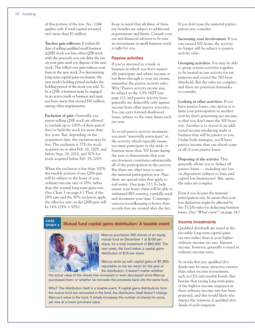of this portion of the loss. Sec. 1244 applies only if total capital invested isn't more than \$1 million.

**Tax-free gain rollovers.** If within 60 days of selling qualified small business (QSB) stock you buy other QSB stock with the proceeds, you can defer the tax on your gain until you dispose of the new stock. The rolled-over gain reduces your basis in the new stock. For determining long-term capital gains treatment, the new stock's holding period includes the holding period of the stock you sold. To be a QSB, a business must be engaged in an active trade or business and must not have assets that exceed \$50 million, among other requirements.

**Exclusion of gain.** Generally, taxpayers selling QSB stock are allowed to exclude up to 100% of their gain if they've held the stock for more than five years. But, depending on the acquisition date, the exclusion may be less: The exclusion is 75% for stock acquired on or after Feb. 18, 2009, and before Sept. 28, 2010, and 50% for stock acquired before Feb. 18, 2009.

When the exclusion is less than 100%, the taxable portion of any QSB gain will be subject to the lesser of your ordinary-income rate or 28%, rather than the normal long-term gains rate. (See Chart 3 on page 8.) Thus, if the 28% rate and the 50% exclusion apply, the effective rate on the QSB gain will be  $14\%$  (28%  $\times$  50%).

Keep in mind that all three of these tax benefits are subject to additional requirements and limits. Consult your tax and financial advisors to be sure an investment in small business stock is right for you.

#### **Passive activities**

If you've invested in a trade or business in which you don't materially participate and where income or loss flows through to your tax return, remember the passive activity rules. Why? Passive activity *income* may be subject to the 3.8% NIIT (see page 11), and passive activity *losses* generally are deductible only against income from other passive activities. You can carry forward disallowed losses, subject to the same limits each tax year.

To avoid passive activity treatment, you must "materially participate" in the activity, which typically means you must participate in the trade or business more than 500 hours during the year or demonstrate that your involvement constitutes substantially all of the participation in the activity. But there are other ways to meet the material participation test. Plus, there are special rules that apply to real estate. (See page 13.) To help ensure your hours claim will be able to withstand IRS scrutiny, carefully track and document your time. Contemporaneous recordkeeping is better than records that are created after the fact.

STUDY 3

# **CASE**<br>STUDY 3 Mutual fund capital gains distribution: A taxable event



Marcus purchases 500 shares of an equity mutual fund on December 1 at \$100 per share, for a total investment of \$50,000. The next week, the fund makes a capital gains distribution of \$15 per share.

Marcus ends up with capital gains of \$7,500, reportable on his tax return for the year of the distribution. It doesn't matter whether

the actual value of the shares has increased or even decreased since Marcus purchased them, or whether he reinvests the proceeds back into the same fund.

Why? The distribution itself is a taxable event. If capital gains distributions from the mutual fund are reinvested in the fund, the distribution itself doesn't change Marcus's value in the fund. It simply increases the number of shares he owns, yet now at a lower per-share value.

If you don't pass the material participation test, consider:

**Increasing your involvement.** If you can exceed 500 hours, the activity no longer will be subject to passive activity rules.

**Grouping activities.** You may be able to group certain activities together to be treated as one activity for tax purposes and exceed the 500-hour threshold. But the rules are complex, and there are potential downsides to consider.

**Looking at other activities.** If you have passive losses, one option is to limit your participation in another activity that's generating net income, so that you don't meet the 500-hour test. Another is to invest in an additional income-producing trade or business that will be passive to you. Under both strategies, you'll have passive income that can absorb some or all of your passive losses.

**Disposing of the activity.** This generally allows you to deduct all passive losses — including any loss on disposition (subject to basis and capital loss limitations). But, again, the rules are complex.

Even if you do pass the material participation test, be aware that your loss deduction might be affected by the TCJA's rules for deducting business losses. (See "What's new!" on page 14.)

#### **Income investments**

Qualified dividends are taxed at the favorable long-term capital gains tax rate rather than at your higher ordinary-income tax rate. Interest income, however, generally is taxed at ordinary-income rates.

So stocks that pay qualified dividends may be more attractive taxwise than other income investments, such as CDs and taxable bonds. But beware that taxing long-term gains of the highest-income taxpayers at their ordinary-income rate has been proposed, and this would likely also impact the taxation of qualified dividends of such taxpayers.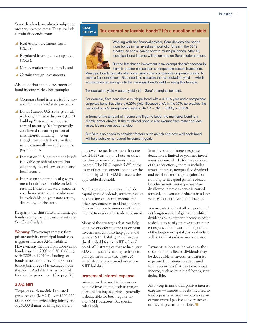Some dividends are already subject to ordinary-income rates. These include certain dividends from:

- y Real estate investment trusts (REITs),
- $\blacktriangle$  Regulated investment companies (RICs),
- y Money market mutual funds, and
- Certain foreign investments.

Also note that the tax treatment of bond income varies. For example:

- $\triangle$  Corporate bond interest is fully taxable for federal *and* state purposes.
- Bonds (except U.S. savings bonds) with original issue discount (OID) build up "interest" as they rise toward maturity. You're generally considered to earn a portion of that interest annually — even though the bonds don't pay this interest annually — and you must pay tax on it.
- Interest on U.S. government bonds is taxable on federal returns but exempt by federal law on state and local returns.
- Interest on state and local government bonds is excludable on federal returns. If the bonds were issued in your home state, interest also may be excludable on your state return, depending on the state.

Keep in mind that state and municipal bonds usually pay a lower interest rate. See Case Study 4.

*Warning:* Tax-exempt interest from private-activity municipal bonds can trigger or increase AMT liability. However, any income from tax-exempt bonds issued in 2009 and 2010 (along with 2009 and 2010 re-fundings of bonds issued after Dec. 31, 2003, and before Jan. 1, 2009) is excluded from the AMT. And AMT is less of a risk for most taxpayers now. (See page 3.)

### **3.8% NIIT**

Taxpayers with modified adjusted gross income (MAGI) over \$200,000 (\$250,000 if married filing jointly and \$125,000 if married filing separately)

#### **CASE**<br>**STUDY 4** Tax-exempt or taxable bonds? It's a question of yield STUDY 4



Working with her financial advisor, Sara decides she needs more bonds in her investment portfolio. She's in the 37% bracket, so she's leaning toward municipal bonds. After all, municipal bond interest will be tax-free on Sara's federal return.



But the fact that an investment is tax-exempt doesn't necessarily make it a better choice than a comparable taxable investment. Municipal bonds typically offer lower yields than comparable corporate bonds. To

make a fair comparison, Sara needs to calculate the tax-equivalent yield — which incorporates tax savings into the municipal bond's yield — using this formula:

Tax-equivalent yield = actual yield /  $(1 - Sara's marginal tax rate)$ .

For example, Sara considers a municipal bond with a 4.00% yield and a comparable corporate bond that offers a 6.25% yield. Because she's in the 37% tax bracket, the municipal bond's tax-equivalent yield is .04 /  $(1 - .37) = .0635$ , or 6.35%.

In terms of the amount of income she'll get to keep, the municipal bond is a slightly better choice. If the municipal bond is also exempt from state and local taxes, it's an even better choice.

But Sara also needs to consider factors such as risk and how well each bond will help achieve her overall investment goals.

may owe the net investment income tax (NIIT) on top of whatever other tax they owe on their investment income. The NIIT equals 3.8% of the lesser of net investment income or the amount by which MAGI exceeds the applicable threshold.

Net investment income can include capital gains, dividends, interest, passive business income, rental income and other investment-related income. But it *doesn't* include business or self-rental income from an active trade or business.

Many of the strategies that can help you save or defer income tax on your investments can also help you avoid or defer NIIT liability. And because the threshold for the NIIT is based on MAGI, strategies that reduce your MAGI — such as making retirement plan contributions (see page 20) could also help you avoid or reduce NIIT liability.

#### **Investment interest expense**

Interest on debt used to buy assets held for investment, such as margin debt used to buy securities, generally is deductible for both regular tax and AMT purposes. But special rules apply.

Your investment interest expense deduction is limited to your net investment income, which, for the purposes of this deduction, generally includes taxable interest, nonqualified dividends and net short-term capital gains (but not long-term capital gains), reduced by other investment expenses. Any disallowed interest expense is carried forward, and you can deduct it in a later year against net investment income.

You may elect to treat all or a portion of net long-term capital gains or qualified dividends as investment income in order to deduct more of your investment interest expense. But if you do, that portion of the long-term capital gain or dividend will be taxed at ordinary-income rates.

Payments a short seller makes to the stock lender in lieu of dividends may be deductible as investment interest expense. But interest on debt used to buy securities that pay tax-exempt income, such as municipal bonds, isn't deductible.

Also keep in mind that passive interest expense — interest on debt incurred to fund a passive activity — becomes part of your overall passive activity income or loss, subject to limitations.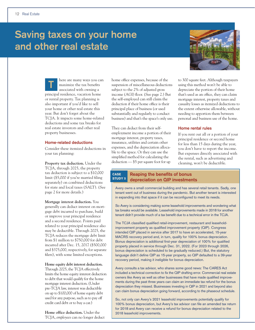# **Saving taxes on your home and other real estate**



here are many ways you can maximize the tax benefits associated with owning a principal residence, vacation home or rental property. Tax planning is also important if you'd like to sell your home or other real estate this year. But don't forget about the TCJA. It impacts some home-related deductions and some tax breaks for real estate investors and other real property businesses. **T**

#### **Home-related deductions**

Consider these itemized deductions in your tax planning:

**Property tax deduction.** Under the TCJA, through 2025, the property tax deduction is subject to a \$10,000 limit (\$5,000 if you're married filing separately) on combined deductions for state and local taxes (SALT). (See page 2 for more details.)

**Mortgage interest deduction.** You generally can deduct interest on mortgage debt incurred to purchase, build or improve your principal residence and a second residence. Points paid related to your principal residence also may be deductible. Through 2025, the TCJA reduces the mortgage debt limit from \$1 million to \$750,000 for debt incurred after Dec. 15, 2017 (\$500,000 and \$375,000, respectively, for separate filers), with some limited exceptions.

#### **Home equity debt interest deduction.**

Through 2025, the TCJA effectively limits the home equity interest deduction to debt that would qualify for the home mortgage interest deduction. (Under pre-TCJA law, interest was deductible on up to \$100,000 of home equity debt used for any purpose, such as to pay off credit card debt or to buy a car.)

**Home office deduction.** Under the TCJA, *employees* can no longer deduct home office expenses, because of the suspension of miscellaneous deductions subject to the 2% of adjusted gross income (AGI) floor. (See page 2.) But the self-employed can still claim the deduction if their home office is their principal place of business (or used substantially and regularly to conduct business) and that's the space's only use.

They can deduct from their selfemployment income a portion of their mortgage interest, property taxes, insurance, utilities and certain other expenses, and the depreciation allocable to the space. Or they can use the simplified method for calculating the deduction — \$5 per square foot for up

to 300 square feet. Although taxpayers using this method won't be able to depreciate the portion of their home that's used as an office, they can claim mortgage interest, property taxes and casualty losses as itemized deductions to the extent otherwise allowable, without needing to apportion them between personal and business use of the home.

#### **Home rental rules**

If you rent out all or a portion of your principal residence or second home for less than 15 days during the year, you don't have to report the income. But expenses directly associated with the rental, such as advertising and cleaning, won't be deductible.

#### **Reaping the benefits of bonus depreciation on QIP investments CASE** STUDY 5

Avery owns a small commercial building and has several retail tenants. Sadly, one tenant went out of business during the pandemic. But another tenant is interested in expanding into that space if it can be reconfigured to meet its needs.

So Avery is considering making some leasehold improvements and wondering what tax breaks would be available. Leasehold improvements made in 2018 for another tenant didn't provide much of a tax benefit due to a technical error in the TCJA.

The TCJA classified qualified retail-improvement, restaurant and leaseholdimprovement property as qualified improvement property (QIP). Congress intended QIP placed in service after 2017 to have an accelerated, 15-year MACRS recovery period and, in turn, qualify for 100% bonus depreciation. Bonus depreciation is additional first-year depreciation of 100% for qualified property placed in service through Dec. 31, 2022. (For 2023 through 2026, bonus depreciation is scheduled to be gradually reduced.) But, the statutory language didn't define QIP as 15-year property, so QIP defaulted to a 39-year recovery period, making it ineligible for bonus depreciation.

Avery consults a tax advisor, who shares some good news: The CARES Act included a technical correction to fix the QIP drafting error. Commercial real estate owners like Avery as well as other businesses that have made qualified improvements during the past three years can claim an immediate tax refund for the bonus depreciation they missed. Businesses investing in QIP in 2021 and beyond also can claim bonus depreciation going forward, according to the phaseout schedule.

So, not only can Avery's 2021 leasehold improvements potentially qualify for 100% bonus depreciation, but Avery's tax advisor can file an amended tax return for 2018 and Avery can receive a refund for bonus depreciation related to the 2018 leasehold improvements.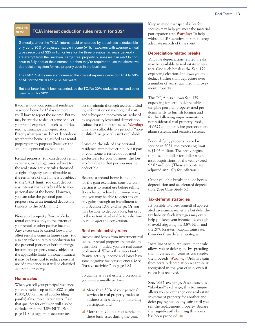#### WHAT'S NEW!

### **TCJA interest deduction rules return for 2021**

Generally, under the TCJA, interest paid or accrued by a business is deductible only up to 30% of adjusted taxable income (ATI). Taxpayers with average annual gross receipts of \$25 million or less for the three previous tax years generally are exempt from the limitation. Larger real property businesses can *elect* to continue to fully deduct their interest, but then they're required to use the alternative depreciation system for real property used in the business.

The CARES Act generally increased the interest expense deduction limit to 50% of ATI for the 2019 and 2020 tax years.

But that break hasn't been extended, so the TCJA's 30% deduction limit and other rules return for 2021.

If you rent out your principal residence or second home for 15 days or more, you'll have to report the income. But you may be entitled to deduct some or all of your rental expenses — such as utilities, repairs, insurance and depreciation. Exactly what you can deduct depends on whether the home is classified as a rental property for tax purposes (based on the amount of personal vs. rental use):

**Rental property.** You can deduct rental expenses, including losses, subject to the real estate activity rules discussed at right. Property tax attributable to the rental use of the home isn't subject to the SALT limit. You can't deduct any interest that's attributable to your personal use of the home. However, you can take the personal portion of property tax as an itemized deduction (subject to the SALT limit).

**Nonrental property.** You can deduct rental expenses only to the extent of your rental or other passive income. Any excess can be carried forward to offset rental income in future years. You also can take an itemized deduction for the personal portion of both mortgage interest and property taxes, subject to the applicable limits. In some instances, it may be beneficial to reduce personal use of a residence so it will be classified as a rental property.

#### **Home sales**

When you sell your principal residence, you can exclude up to \$250,000 of gain (\$500,000 for married couples filing jointly) if you meet certain tests. Gain that qualifies for exclusion will also be excluded from the 3.8% NIIT. (See page 11.) To support an accurate tax

basis, maintain thorough records, including information on your original cost and subsequent improvements, reduced by any casualty losses and depreciation claimed based on business use. *Warning:* Gain that's allocable to a period of "nonqualified" use generally isn't excludable.

Losses on the sale of any personal residence aren't deductible. But if part of your home is rented out or used exclusively for your business, the loss attributable to that portion may be deductible.

Because a second home is ineligible for the gain exclusion, consider converting it to rental use before selling. It can be considered a business asset, and you may be able to defer tax on any gains through an installment sale or a Section 1031 exchange. Or you may be able to deduct a loss, but only to the extent attributable to a decline in value *after* the conversion.

#### **Real estate activity rules**

Income and losses from investment real estate or rental property are passive by definition — unless you're a real estate professional. Why is this important? Passive activity income and losses have some negative tax consequences. (See "Passive activities" on page 10.)

To qualify as a real estate professional, you must annually perform:

- $\blacktriangle$  More than 50% of your personal services in real property trades or businesses in which you materially participate, and
- More than 750 hours of service in these businesses during the year.

Keep in mind that special rules for spouses may help you meet the material participation test. *Warning:* To help withstand IRS scrutiny, be sure to keep adequate records of time spent.

#### **Depreciation-related breaks**

Valuable depreciation-related breaks may be available to real estate investors. One such break is the Sec. 179 expensing election. It allows you to deduct (rather than depreciate over a number of years) qualified improvement property.

The TCJA also allows Sec. 179 expensing for certain depreciable tangible personal property used predominantly to furnish lodging and for the following improvements to nonresidential real property: roofs, HVAC equipment, fire protection and alarm systems, and security systems.

For qualifying property placed in service in 2021, the expensing limit is \$1.05 million. The break begins to phase out dollar-for-dollar when asset acquisitions for the year exceed \$2.62 million. (These amounts are adjusted annually for inflation.)

Other valuable breaks include bonus depreciation and accelerated depreciation. (See Case Study 5.)

#### **Tax-deferral strategies**

It's possible to divest yourself of appreciated investment real estate but defer the tax liability. Such strategies may even help you keep your income low enough to avoid triggering the 3.8% NIIT and the 20% long-term capital gains rate. Consider these deferral strategies:

**Installment sale.** An installment sale allows you to defer gains by spreading them over several years as you receive the proceeds. *Warning:* Ordinary gain from certain depreciation recapture is recognized in the year of sale, even if no cash is received.

**Sec. 1031 exchange.** Also known as a "like-kind" exchange, this technique allows you to exchange one real estate investment property for another and defer paying tax on any gain until you sell the replacement property. Beware that significantly limiting this break has been proposed.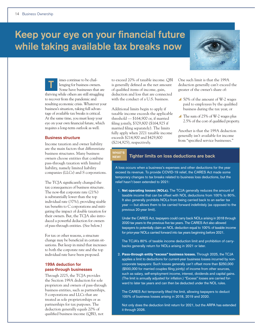# **Keep your eye on your financial future while taking available tax breaks now**



imes continue to be challenging for business owners. Some have businesses that are thriving while others are still struggling to recover from the pandemic and resulting economic crisis. Whatever your business's situation, taking full advantage of available tax breaks is critical. At the same time, you must keep your eye on your own financial future, which requires a long-term outlook as well. **T**

#### **Business structure**

Income taxation and owner liability are the main factors that differentiate business structures. Many business owners choose entities that combine pass-through taxation with limited liability, namely limited liability companies (LLCs) and S corporations.

The TCJA significantly changed the tax consequences of business structure. The now-flat corporate rate (21%) is substantially lower than the top individual rate (37%), providing sizable tax benefits to C corporations and mitigating the impact of double taxation for their owners. But, the TCJA also introduced a powerful deduction for owners of pass-through entities. (See below.)

For tax or other reasons, a structure change may be beneficial in certain situations. But keep in mind that increases to both the corporate rate and the top individual rate have been proposed.

### **199A deduction for pass-through businesses**

Through 2025, the TCJA provides the Section 199A deduction for sole proprietors and owners of pass-through business entities, such as partnerships, S corporations and LLCs that are treated as sole proprietorships or as partnerships for tax purposes. The deduction generally equals 20% of qualified business income (QBI), not

to exceed 20% of taxable income. QBI is generally defined as the net amount of qualified items of income, gain, deduction and loss that are connected with the conduct of a U.S. business.

Additional limits begin to apply if taxable income exceeds the applicable threshold — \$164,900 or, if married filing jointly, \$329,800 (\$164,925 if married filing separately). The limits fully apply when 2021 taxable income exceeds \$214,900 and \$429,800 (\$214,925), respectively.

NEW!

One such limit is that the 199A deduction generally can't exceed the greater of the owner's share of:

- $\triangle$  50% of the amount of W-2 wages paid to employees by the qualified business during the tax year, or
- $\triangle$  The sum of 25% of W-2 wages plus 2.5% of the cost of qualified property.

Another is that the 199A deduction generally isn't available for income from "specified service businesses."

#### **Tighter limits on loss deductions are back** WHAT'S

A loss occurs when a business's expenses and other deductions for the year exceed its revenue. To provide COVID-19 relief, the CARES Act made some temporary changes to tax breaks related to business loss deductions, but the relief hasn't been extended to 2021:

1. Net operating losses (NOLs). The TCJA generally reduces the amount of taxable income that can be offset with NOL deductions from 100% to 80%. It also generally prohibits NOLs from being carried back to an earlier tax year — but allows them to be carried forward indefinitely (as opposed to the previous 20-year limit).

 Under the CARES Act, taxpayers could carry back NOLs arising in 2018 through 2020 tax years to the previous five tax years. The CARES Act also allowed taxpayers to potentially claim an NOL deduction equal to 100% of taxable income for prior-year NOLs carried forward into tax years beginning before 2021.

 The TCJA's 80% of taxable income deduction limit and prohibition of carrybacks generally return for NOLs arising in 2021 or later.

2. Pass-through entity "excess" business losses. Through 2025, the TCJA applies a limit to deductions for current-year business losses incurred by noncorporate taxpayers: Such losses generally can't offset more than \$250,000 (\$500,000 for married couples filing jointly) of income from other sources, such as salary, self-employment income, interest, dividends and capital gains. (The limit is annually adjusted for inflation.) "Excess" losses are carried forward to later tax years and can then be deducted under the NOL rules.

 The CARES Act temporarily lifted the limit, allowing taxpayers to deduct 100% of business losses arising in 2018, 2019 and 2020.

 Not only does the deduction limit return for 2021, but the ARPA has extended it through 2026.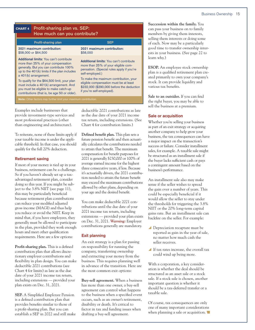| Profit-sharing plan vs. SEP:<br><b>CHART 4</b><br>How much can you contribute? |                                                                                                                                                                                                                                                                                                                                                                                       |                                                                                                                                                                                                                                                                                                              |
|--------------------------------------------------------------------------------|---------------------------------------------------------------------------------------------------------------------------------------------------------------------------------------------------------------------------------------------------------------------------------------------------------------------------------------------------------------------------------------|--------------------------------------------------------------------------------------------------------------------------------------------------------------------------------------------------------------------------------------------------------------------------------------------------------------|
|                                                                                | Profit-sharing plan                                                                                                                                                                                                                                                                                                                                                                   | <b>SEP</b>                                                                                                                                                                                                                                                                                                   |
|                                                                                | 2021 maximum contribution:<br>\$58,000 or \$64,500                                                                                                                                                                                                                                                                                                                                    | 2021 maximum contribution:<br>\$58,000                                                                                                                                                                                                                                                                       |
|                                                                                | Additional limits: You can't contribute<br>more than 25% of your compensation<br>generally. But you can contribute 100%<br>up to the $401(k)$ limits if the plan includes<br>a 401(k) arrangement.<br>To qualify for the \$64,500 limit, your plan<br>must include a 401(k) arrangement. And<br>you must be eligible to make catch-up<br>contributions (that is, be age 50 or older). | Additional limits: You can't contribute<br>more than 25% of your eligible com-<br>pensation. (Special rules apply if you're<br>self-employed.)<br>To make the maximum contribution, your<br>eligible compensation must be at least<br>\$232,000 (\$290,000 before the deduction<br>if you're self-employed). |
|                                                                                | <b>Note:</b> Other factors may further limit your maximum contribution.                                                                                                                                                                                                                                                                                                               |                                                                                                                                                                                                                                                                                                              |

Examples include businesses that provide investment-type services and most professional practices (other than engineering and architecture).

To reiterate, none of these limits apply if your taxable income is under the applicable threshold. In that case, you should qualify for the full 20% deduction.

#### **Retirement saving**

If most of your money is tied up in your business, retirement can be a challenge. So if you haven't already set up a taxadvantaged retirement plan, consider doing so this year. If you might be subject to the 3.8% NIIT (see page 11), this may be particularly beneficial because retirement plan contributions can reduce your modified adjusted gross income (MAGI) and thus help you reduce or avoid the NIIT. Keep in mind that, if you have employees, they generally must be allowed to participate in the plan, provided they work enough hours and meet other qualification requirements. Here are a few options:

**Profit-sharing plan.** This is a defined contribution plan that allows discretionary employer contributions and flexibility in plan design. You can make deductible 2021 contributions (see Chart 4 for limits) as late as the due date of your 2021 income tax return, including extensions — provided your plan exists on Dec. 31, 2021.

**SEP.** A Simplified Employee Pension is a defined contribution plan that provides benefits similar to those of a profit-sharing plan. But you can establish a SEP in 2022 and still make deductible 2021 contributions as late as the due date of your 2021 income tax return, including extensions. (See Chart 4 for contribution limits.)

**Defined benefit plan.** This plan sets a future pension benefit and then actuarially calculates the contributions needed to attain that benefit. The maximum compensation for benefit purposes for 2021 is generally \$230,000 or 100% of average earned income for the highest three consecutive years, if less. Because it's actuarially driven, the 2021 contribution needed to attain the future benefit may exceed the maximum contributions allowed by other plans, depending on your age and the desired benefit.

You can make deductible 2021 contributions until the due date of your 2021 income tax return, including extensions — provided your plan exists on Dec. 31, 2021. *Warning:* Employer contributions generally are mandatory.

#### **Exit planning**

An exit strategy is a plan for passing on responsibility for running the company, transferring ownership and extracting your money from the business. This requires planning well in advance of the transition. Here are the most common exit options:

**Buy-sell agreement.** When a business has more than one owner, a buy-sell agreement can control what happens to the business when a specified event occurs, such as an owner's retirement, disability or death. It's critical to factor in tax and funding issues when drafting a buy-sell agreement.

**Succession within the family.** You can pass your business on to family members by giving them interests, selling them interests or doing some of each. Now may be a particularly good time to transfer ownership interests in your business. (See page 22 to learn why.)

**ESOP.** An employee stock ownership plan is a qualified retirement plan created primarily to own your company's stock. It can provide liquidity and various tax benefits.

**Sale to an outsider.** If you can find the right buyer, you may be able to sell the business at a premium.

#### **Sale or acquisition**

Whether you're selling your business as part of an exit strategy or acquiring another company to help grow your business, the tax consequences can have a major impact on the transaction's success or failure. Consider installment sales, for example. A taxable sale might be structured as an installment sale if the buyer lacks sufficient cash or pays a contingent amount based on the business's performance.

An installment sale also may make sense if the seller wishes to spread the gain over a number of years. This could be especially beneficial if it would allow the seller to stay under the thresholds for triggering the 3.8% NIIT or the 20% long-term capital gains rate. But an installment sale can backfire on the seller. For example:

- ▲ Depreciation recapture must be reported as gain in the year of sale, no matter how much cash the seller receives.
- y If tax rates increase, the overall tax could wind up being more.

With a corporation, a key consideration is whether the deal should be structured as an asset sale or a stock sale. If a stock sale is chosen, another important question is whether it should be a tax-deferred transfer or a taxable sale.

Of course, tax consequences are only one of many important considerations when planning a sale or acquisition.  $\blacksquare$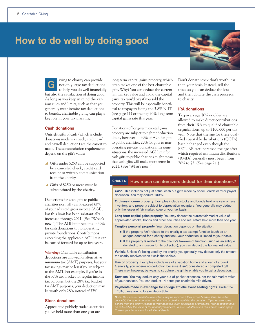# **How to do well by doing good**

iving to charity can provide not only large tax deductions to help you do well financially but also the satisfaction of doing good. As long as you keep in mind the various rules and limits, such as that you generally must itemize tax deductions to benefit, charitable giving can play a key role in your tax planning. **G**

#### **Cash donations**

Outright gifts of cash (which include donations made via check, credit card and payroll deduction) are the easiest to make. The substantiation requirements depend on the gift's value:

- $\triangle$  Gifts under \$250 can be supported by a canceled check, credit card receipt or written communication from the charity.
- Gifts of \$250 or more must be substantiated by the charity.

Deductions for cash gifts to public charities normally can't exceed 60% of your adjusted gross income (AGI), but this limit has been substantially increased through 2021. (See "What's new!") The AGI limit remains at 30% for cash donations to nonoperating private foundations. Contributions exceeding the applicable AGI limit can be carried forward for up to five years.

*Warning:* Charitable contribution deductions are allowed for alternative minimum tax (AMT) purposes, but your tax savings may be less if you're subject to the AMT. For example, if you're in the 37% tax bracket for regular income tax purposes, but the 28% tax bracket for AMT purposes, your deduction may be worth only 28% instead of 37%.

#### **Stock donations**

Appreciated publicly traded securities you've held more than one year are

long-term capital gains property, which often makes one of the best charitable gifts. Why? You can deduct the current fair market value and avoid the capital gains tax you'd pay if you sold the property. This will be especially beneficial to taxpayers facing the 3.8% NIIT (see page 11) or the top 20% long-term capital gains rate this year.

Donations of long-term capital gains property are subject to tighter deduction limits, however — 30% of AGI for gifts to public charities, 20% for gifts to nonoperating private foundations. In some situations, the increased AGI limit for cash gifts to public charities might mean that cash gifts will make more sense in 2021. (See "What's new!")

Don't donate stock that's worth less than your basis. Instead, sell the stock so you can deduct the loss and then donate the cash proceeds to charity.

#### **IRA donations**

Taxpayers age 70<sup>1</sup>/<sub>2</sub> or older are allowed to make direct contributions from their IRA to qualified charitable organizations, up to \$100,000 per tax year. Note that the age for these qualified charitable distributions (QCDs) hasn't changed even though the SECURE Act increased the age after which required minimum distributions (RMDs) generally must begin from 701/2 to 72. (See page 21.)

## CHART 5 **How much can itemizers deduct for their donations?**

**Cash.** This includes not just actual cash but gifts made by check, credit card or payroll deduction. You may deduct 100%.

**Ordinary-income property.** Examples include stocks and bonds held one year or less, inventory, and property subject to depreciation recapture. You generally may deduct only the lesser of fair market value or your tax basis.

**Long-term capital gains property.** You may deduct the current fair market value of appreciated stocks, bonds and other securities and real estate held more than one year.

**Tangible personal property.** Your deduction depends on the situation:

- <sup>n</sup> If the property *isn't* related to the charity's tax-exempt function (such as an antique donated for a charity auction), your deduction is limited to your basis.
- <sup>n</sup> If the property *is* related to the charity's tax-exempt function (such as an antique donated to a museum for its collection), you can deduct the fair market value.

**Vehicle.** Unless it's being used by the charity, you generally may deduct only the amount the charity receives when it sells the vehicle.

**Use of property.** Examples include use of a vacation home and a loan of artwork. Generally, you receive no deduction because it isn't considered a completed gift. There may, however, be ways to structure the gift to enable you to get a deduction.

Services. You may deduct only your out-of-pocket expenses, not the fair market value of your services. You can deduct 14 cents per charitable mile driven.

**Payments made in exchange for college athletic event seating rights.** Under the TCJA, these are no longer deductible.

*Note: Your annual charitable deductions may be reduced if they exceed certain limits based on* 

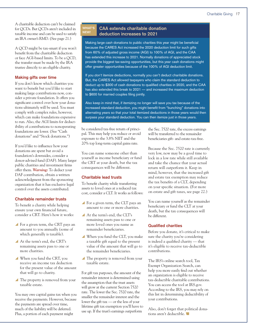A charitable deduction can't be claimed for QCDs. But QCDs aren't included in taxable income and can be used to satisfy an IRA owner's RMD. (See page 21.)

A QCD might be tax-smart if you won't benefit from the charitable deduction or face AGI-based limits. To be a QCD, the transfer must be made by the IRA trustee directly to an eligible charity.

#### **Making gifts over time**

If you don't know which charities you want to benefit but you'd like to start making large contributions now, consider a private foundation. It offers you significant control over how your donations ultimately will be used. You must comply with complex rules, however, which can make foundations expensive to run. Also, the AGI limits for deductibility of contributions to nonoperating foundations are lower. (See "Cash donations" and "Stock donations.")

If you'd like to influence how your donations are spent but avoid a foundation's downsides, consider a donor-advised fund (DAF). Many larger public charities and investment firms offer them. *Warning:* To deduct your DAF contribution, obtain a written acknowledgment from the sponsoring organization that it has exclusive legal control over the assets contributed.

#### **Charitable remainder trusts**

To benefit a charity while helping ensure your own financial future, consider a CRT. Here's how it works:

- $\blacktriangle$  For a given term, the CRT pays an amount to you annually (some of which generally is taxable).
- At the term's end, the CRT's remaining assets pass to one or more charities.
- $\blacktriangle$  When you fund the CRT, you receive an income tax deduction for the present value of the amount that will go to charity.
- The property is removed from your taxable estate.

You may owe capital gains tax when you receive the payments. However, because the payments are spread over time, much of the liability will be deferred. Plus, a portion of each payment might

#### **CAA extends charitable donation deduction increases to 2021** WHAT'S NEW!

Making large *cash* donations to public charities this year might be beneficial because the CARES Act increased the 2020 deduction limit for such gifts from 60% of adjusted gross income (AGI) to 100% of AGI, and the CAA has extended this increase to 2021. Normally donations of appreciated stock provide the biggest tax-saving opportunities, but this year cash donations might offer greater opportunities because of the 100% of AGI deduction limit.

If you *don't* itemize deductions, normally you can't deduct charitable donations. But, the CARES Act allowed taxpayers who claim the standard deduction to deduct up to \$300 of cash donations to qualified charities in 2020, and the CAA has also extended this break to 2021 — and increased the maximum deduction to \$600 for married couples filing jointly.

Also keep in mind that, if itemizing no longer will save you tax because of the increased standard deduction, you might benefit from "bunching" donations into alternating years so that your total itemized deductions in those years would then surpass your standard deduction. You can then itemize just in those years.

be considered tax-free return of principal. This may help you reduce or avoid exposure to the 3.8% NIIT and the 20% top long-term capital gains rate.

You can name someone other than yourself as income beneficiary or fund the CRT at your death, but the tax consequences will be different.

### **Charitable lead trusts**

To benefit charity while transferring assets to loved ones at a reduced tax cost, consider a CLT. It works as follows:

- For a given term, the CLT pays an amount to one or more charities.
- y At the term's end, the CLT's remaining assets pass to one or more loved ones you name as remainder beneficiaries.
- $\blacktriangle$  When you fund the CLT, you make a taxable gift equal to the present value of the amount that will go to the remainder beneficiaries.
- $\blacktriangle$  The property is removed from your taxable estate.

For gift tax purposes, the amount of the remainder interest is determined using the assumption that the trust assets will grow at the current Section 7520 rate. The lower the Sec. 7520 rate, the smaller the remainder interest and the lower the gift tax — or the less of your lifetime gift tax exemption you'll have to use up. If the trust's earnings outperform

the Sec. 7520 rate, the excess earnings will be transferred to the remainder beneficiaries gift- and estate-tax-free.

Because the Sec. 7520 rate is currently very low, now may be a good time to lock in a low rate while still available and take the chance that your actual return will outperform it. Keep in mind, however, that the increased gift and estate tax exemption may reduce the tax benefits of a CLT, depending on your specific situation. (For more on estate and gift taxes, see page 22.)

You can name yourself as the remainder beneficiary or fund the CLT at your death, but the tax consequences will be different.

### **Qualified charities**

Before you donate, it's critical to make sure the charity you're considering is indeed a qualified charity — that it's eligible to receive tax-deductible contributions.

The IRS's online search tool, Tax Exempt Organization Search, can help you more easily find out whether an organization is eligible to receive tax-deductible charitable contributions. You can access the tool at IRS.gov. According to the IRS, you may rely on this list in determining deductibility of your contributions.

Also, don't forget that political donations aren't deductible.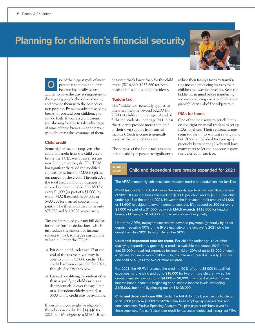# **Planning for children's financial security**

ne of the biggest goals of most parents is that their children become financially secure adults. To pave the way, it's important to show young people the value of saving and provide them with the best education possible. By taking advantage of tax breaks for you and your children, you can do both. If you're a grandparent, you also may be able to take advantage of some of these breaks — or help your grandchildren take advantage of them. **O**

#### **Child credit**

Some higher-income taxpayers who couldn't benefit from the child credit before the TCJA went into effect are now finding that they do. The TCJA has significantly raised the modified adjusted gross income (MAGI) phaseout ranges for the credit. Through 2025, the total credit amount a taxpayer is allowed to claim is reduced by \$50 for every \$1,000 (or part of a \$1,000) by which MAGI exceeds \$200,000, or \$400,000 for married couples filing jointly. The thresholds used to be only \$75,000 and \$110,000, respectively.

Tax credits reduce your tax bill dollar for dollar (unlike deductions, which just reduce the amount of income subject to tax), so they're particularly valuable. Under the TCJA:

- $\blacktriangle$  For each child under age 17 at the end of the tax year, you may be able to claim a \$2,000 credit. This credit has been expanded for 2021, though. See "What's new!"
- $\blacktriangle$  For each qualifying dependent other than a qualifying child (such as a dependent child over the age limit or a dependent elderly parent), a \$500 family credit may be available.

If you adopt, you might be eligible for the adoption credit. It's \$14,440 for 2021, but it's subject to a MAGI-based phaseout that's lower than for the child credit (\$216,660–\$256,660 for both heads of households and joint filers).

#### **"Kiddie tax"**

The "kiddie tax" generally applies to unearned income beyond \$2,200 (for 2021) of children under age 19 and of full-time students under age 24 (unless the students provide more than half of their own support from earned income). Such income is generally taxed at the parents' tax rate.

The purpose of the kiddie tax is to minimize the ability of parents to significantly reduce their family's taxes by transferring income-producing assets to their children in lower tax brackets. Keep the kiddie tax in mind before transferring income-producing assets to children (or grandchildren) who'd be subject to it.

#### **IRAs for teens**

One of the best ways to get children on the right financial track is to set up IRAs for them. Their retirement may seem too far off to warrant saving now, but IRAs can be ideal for teenagers precisely because they likely will have many years to let their accounts grow tax-deferred or tax-free.

WHAT' **NEW** 

The ARPA temporarily enhances some valuable credits and deductions for families:

**Child and dependent care breaks expanded for 2021**

Child tax credit. The ARPA raises the eligibility age to under age 18 at the end of 2021. It also increases the credit to \$3,000 per child, and to \$3,600 per child under age 6 at the end of 2021. However, the increased credit amount (\$1,000 or \$1,600) is subject to lower income phaseouts: It's reduced by \$50 for every \$1,000 (or part of a \$1,000) by which MAGI exceeds \$112,000 for head of household filers, or \$150,000 for married couples filing jointly.

Under the ARPA, taxpayers can receive advance payments (generally by direct deposit) equaling 50% of the IRS's estimate of the taxpayer's 2021 child tax credit from July 2021 through December 2021.

Child and dependent care tax credit. For children under age 13 or other qualifying dependents, generally, a credit is available that equals 20% of the first \$3,000 of qualified expenses for one child or 20% of up to \$6,000 of such expenses for two or more children. So, the maximum credit is usually \$600 for one child or \$1,200 for two or more children.

For 2021, the ARPA increases the credit to 50% of up to \$8,000 in qualified expenses for one child and up to \$16,000 for two or more children — so the credit ultimately is worth up to \$4,000 or \$8,000. The credit is subject to an income-based phaseout beginning at household income levels exceeding \$125,000, but not fully phasing out until \$438,000.

Child and dependent care FSA. Under the ARPA, for 2021, you can contribute up to \$10,500 (up from \$5,000 for 2020) pretax to an employer-sponsored child and dependent care Flexible Spending Account. The plan pays or reimburses you for these expenses. You can't claim a tax credit for expenses reimbursed through an FSA.

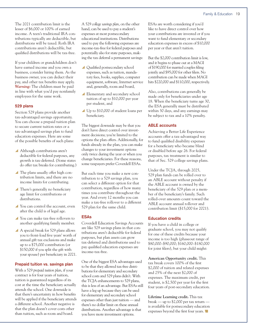The 2021 contribution limit is the lesser of \$6,000 or 100% of earned income. A teen's traditional IRA contributions typically are deductible, but distributions will be taxed. Roth IRA contributions aren't deductible, but qualified distributions will be tax-free.

If your children or grandchildren don't have earned income and you own a business, consider hiring them. As the business owner, you can deduct their pay, and other tax benefits may apply. *Warning:* The children must be paid in line with what you'd pay nonfamily employees for the same work.

#### **529 plans**

Section 529 plans provide another tax-advantaged savings opportunity. You can choose a prepaid tuition plan to secure current tuition rates or a tax-advantaged savings plan to fund education expenses. Here are some of the possible benefits of such plans:

- Although contributions aren't deductible for federal purposes, any growth is tax-deferred. (Some states do offer tax breaks for contributing.)
- $\blacktriangle$  The plans usually offer high contribution limits, and there are no income limits for contributing.
- $\blacktriangle$  There's generally no beneficiary age limit for contributions or distributions.
- You can control the account, even after the child is of legal age.
- You can make tax-free rollovers to another qualifying family member.
- $\blacktriangle$  A special break for 529 plans allows you to front-load five years' worth of annual gift tax exclusions and make up to a \$75,000 contribution (or \$150,000 if you split the gift with your spouse) per beneficiary in 2021.

#### **Prepaid tuition vs. savings plan**

With a 529 *prepaid tuition plan*, if your contract is for four years of tuition, tuition is guaranteed regardless of its cost at the time the beneficiary actually attends the school. One downside is that there's uncertainty in how benefits will be applied if the beneficiary attends a different school. Another negative is that the plan doesn't cover costs other than tuition, such as room and board.

A 529 *college savings plan*, on the other hand, can be used to pay a student's expenses at most postsecondary educational institutions. Distributions used to pay the following expenses are income-tax-free for federal purposes and potentially also for state purposes, making the tax deferral a permanent savings:

- $\triangle$  Qualified postsecondary school expenses, such as tuition, mandatory fees, books, supplies, computer equipment, software, Internet service and, generally, room and board,
- Elementary and secondary school tuition of up to \$10,000 per year per student, and
- Up to \$10,000 of student loans per beneficiary.

The biggest downside may be that you don't have direct control over investment decisions; you're limited to the options the plan offers. Additionally, for funds already in the plan, you can make changes to your investment options only twice during the year or when you change beneficiaries. For these reasons, some taxpayers prefer Coverdell ESAs.

But each time you make a new contribution to a 529 savings plan, you can select a different option for that contribution, regardless of how many times you contribute throughout the year. And every 12 months you can make a tax-free rollover to a different 529 plan for the same child.

#### **ESAs**

Coverdell Education Savings Accounts are like 529 savings plans in that contributions aren't deductible for federal purposes, but plan assets can grow tax-deferred and distributions used to pay qualified education expenses are income-tax-free.

One of the biggest ESA advantages used to be that they allowed tax-free distributions for elementary and secondary school costs and 529 plans didn't. With the TCJA enhancements to 529 plans, this is less of an advantage. But ESAs still have a leg up because they can be used for elementary and secondary school expenses other than just tuition — and there's no dollar limit on these annual distributions. Another advantage is that you have more investment options.

ESAs are worth considering if you'd like to have direct control over how your contributions are invested or if you want to fund elementary or secondary education expenses in excess of \$10,000 per year or that aren't tuition.

But the \$2,000 contribution limit is low, and it begins to phase out at a MAGI of \$190,000 for married couples filing jointly and \$95,000 for other filers. No contribution can be made when MAGI hits \$220,000 and \$110,000, respectively.

Also, contributions can generally be made only for beneficiaries under age 18. When the beneficiary turns age 30, the ESA generally must be distributed within 30 days, and any earnings may be subject to tax and a 10% penalty.

#### **ABLE accounts**

Achieving a Better Life Experience accounts offer a tax-advantaged way to fund qualified disability expenses for a beneficiary who became blind or disabled before age 26. For federal purposes, tax treatment is similar to that of Sec. 529 college savings plans.

Under the TCJA, through 2025, 529 plan funds can be rolled over to an ABLE account without penalty if the ABLE account is owned by the beneficiary of the 529 plan or a member of the beneficiary's family. Such rolled-over amounts count toward the ABLE account annual rollover and contribution limit (\$15,000 for 2021).

#### **Education credits**

If you have a child in college or graduate school, you may not qualify for one of these credits because your income is too high (phaseout range of \$80,000–\$90,000; \$160,000–\$180,000 for joint filers), but your child might:

**American Opportunity credit.** This tax break covers 100% of the first \$2,000 of tuition and related expenses and 25% of the next \$2,000 of expenses. The maximum credit, per student, is \$2,500 per year for the first four years of post-secondary education.

**Lifetime Learning credit.** This tax break — up to \$2,000 per tax return is available for postsecondary education expenses beyond the first four years.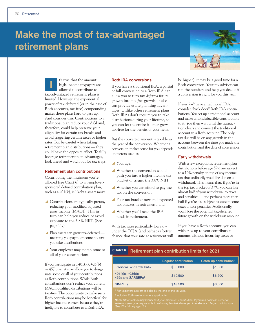# **Make the most of tax-advantaged retirement plans**



t's true that the amount high-income taxpayers are allowed to contribute to tax-advantaged retirement plans is limited. However, the exponential power of tax-deferred (or in the case of Roth accounts, tax-free) compounding makes these plans hard to pass up. And consider this: Contributions to a traditional plan reduce your AGI and, therefore, could help preserve your eligibility for certain tax breaks and avoid triggering certain taxes or higher rates. But be careful when taking retirement plan distributions — they could have the opposite effect. To fully leverage retirement plan advantages, look ahead and watch out for tax traps. **I**

#### **Retirement plan contributions**

Contributing the maximum you're allowed (see Chart 6) to an employersponsored defined contribution plan, such as a  $401(k)$ , is likely a smart move:

- $\triangle$  Contributions are typically pretax, reducing your modified adjusted gross income (MAGI). This in turn can help you reduce or avoid exposure to the 3.8% NIIT. (See page 11.)
- ▲ Plan assets can grow tax-deferred meaning you pay no income tax until you take distributions.
- Your employer may match some or all of your contributions.

If you participate in a  $401(k)$ ,  $403(b)$ or 457 plan, it may allow you to designate some or all of your contributions as Roth contributions. While Roth contributions don't reduce your current MAGI, qualified distributions will be tax-free. The opportunity to make such Roth contributions may be beneficial for higher-income earners because they're ineligible to contribute to a Roth IRA.

#### **Roth IRA conversions**

If you have a traditional IRA, a partial or full conversion to a Roth IRA can allow you to turn tax-*deferred* future growth into tax-*free* growth. It also can provide estate planning advantages. Unlike other retirement plans, Roth IRAs don't require you to take distributions during your lifetime, so you can let the entire balance grow tax-free for the benefit of your heirs.

But the converted amount is taxable in the year of the conversion. Whether a conversion makes sense for you depends on factors such as:

- $\blacktriangle$  Your age,
- Whether the conversion would push you into a higher income tax bracket or trigger the 3.8% NIIT,
- Whether you can afford to pay the tax on the conversion,
- Your tax bracket now and expected tax bracket in retirement, and
- y Whether you'll need the IRA funds in retirement.

With tax rates particularly low now under the TCJA (and perhaps a better chance that your rate at retirement will be higher), it may be a good time for a Roth conversion. Your tax advisor can run the numbers and help you decide if a conversion is right for you this year.

If you *don't* have a traditional IRA, consider "back door" Roth IRA contributions. You set up a traditional account and make a nondeductible contribution to it. You then wait until the transaction clears and convert the traditional account to a Roth account. The only tax due will be on any growth in the account between the time you made the contribution and the date of conversion.

#### **Early withdrawals**

With a few exceptions, retirement plan distributions before age 591/2 are subject to a 10% penalty on top of any income tax that ordinarily would be due on a withdrawal. This means that, if you're in the top tax bracket of 37%, you can lose almost half of your withdrawal to taxes and penalties — and perhaps more than half if you're also subject to state income taxes and/or penalties. Additionally, you'll lose the potential tax-deferred future growth on the withdrawn amount.

If you have a Roth account, you can withdraw up to your contribution amount without incurring taxes or

# CHART 6 **Retirement plan contribution limits for 2021**

|                                                    | <b>Regular contribution</b> | Catch-up contribution <sup>1</sup> |
|----------------------------------------------------|-----------------------------|------------------------------------|
| <b>Traditional and Roth IRAs</b>                   | \$6,000                     | \$1,000                            |
| 401(k)s, 403(b)s,<br>457s and SARSEPs <sup>2</sup> | \$19,500                    | \$6,500                            |
| <b>SIMPLE<sub>s</sub></b>                          | \$13,500                    | \$3,000                            |

**Note:** Other factors may further limit your maximum contribution. If you're a business owner or<br>self-employed, you may be able to set up a plan that allows you to make much larger contributions.<br>(See Chart 4 on page 15.)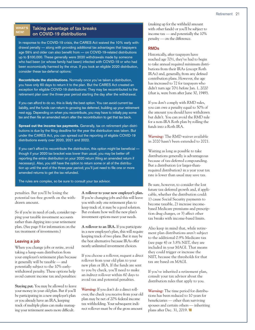#### WHAT'S NEW!

### **Taking advantage of tax breaks on COVID-19 distributions**

In response to the COVID-19 crisis, the CARES Act waived the 10% early withdrawal penalty — along with providing additional tax advantages that taxpayers age 59½ and older can also benefit from — on COVID-19-related distributions up to \$100,000. These generally were 2020 withdrawals made by someone who had been (or whose family had been) infected with COVID-19 or who had been economically harmed by the virus. If you took an eligible 2020 distribution, consider these tax-deferral options:

Recontribute the distributions. Normally once you've taken a distribution, you have only 60 days to return it to the plan. But the CARES Act created an exception for eligible COVID-19 distributions: They may be recontributed to the retirement plan over the three-year period starting the day after the withdrawal.

If you can afford to do so, this is likely the best option. You can avoid current tax liability, and the funds can return to growing tax deferred, building up your retirement nest egg. Depending on when you recontribute, you may have to initially pay some tax and then file an amended return after the recontribution to get that tax back.

Spread out the income tax payments. Generally, tax on retirement plan distributions is due by the filing deadline for the year the distribution was taken. But under the CARES Act, you can spread out the reporting of eligible COVID-19 distributions evenly over 2020, 2021 and 2022.

If you can't afford to recontribute the distribution, this option might be beneficial though if your 2020 tax bracket was lower than usual, you may be better off reporting the entire distribution on your 2020 return (filing an amended return if necessary). Also, you still have the option to return some or all of the distribution up until the end of the three-year period; you'll just need to file one or more amended returns to get the tax refunded.

The rules are complex, so be sure to consult your tax advisor.

penalties. But you'll be losing the potential tax-free growth on the withdrawn amount.

So if you're in need of cash, consider tapping your taxable investment accounts rather than dipping into your retirement plan. (See page 8 for information on the tax treatment of investments.)

#### **Leaving a job**

When you change jobs or retire, avoid taking a lump-sum distribution from your employer's retirement plan because it generally will be taxable — and potentially subject to the 10% earlywithdrawal penalty. These options help avoid current income tax and penalties:

**Staying put.** You may be allowed to leave your money in your old plan. But if you'll be participating in a new employer's plan or you already have an IRA, keeping track of multiple plans can make managing your retirement assets more difficult.

**A rollover to your new employer's plan.** If you're changing jobs and this will leave you with only one retirement plan to keep track of, it may be a good solution. But evaluate how well the new plan's investment options meet your needs.

**A rollover to an IRA.** If you participate in a new employer's plan, this will require keeping track of two plans. But it may be the best alternative because IRAs offer nearly unlimited investment choices.

If you choose a rollover, request a *direct* rollover from your old plan to your new plan or IRA. If the funds are sent to you by check, you'll need to make an *indirect* rollover within 60 days to avoid tax and potential penalties.

*Warning:* If you don't do a direct rollover, the check you receive from your old plan may be net of 20% federal income tax withholding. Your subsequent indirect rollover must be of the gross amount

(making up for the withheld amount with other funds) or you'll be subject to income tax — and potentially the 10% penalty — on the difference.

#### **RMDs**

Historically, after taxpayers have reached age 70½, they've had to begin to take annual required minimum distributions from their IRAs (except Roth IRAs) and, generally, from any defined contribution plans. However, the age has increased to 72 for taxpayers who didn't turn age 70½ before Jan. 1, 2020 (that is, were born after June 30, 1949).

If you don't comply with RMD rules, you can owe a penalty equal to 50% of the amount you should have withdrawn but didn't. You can avoid the RMD rule for a non-IRA Roth plan by rolling the funds into a Roth IRA.

*Warning:* The RMD waiver available in 2020 hasn't been extended to 2021.

Waiting as long as possible to take distributions generally is advantageous because of tax-deferred compounding. But a distribution (or larger-thanrequired distribution) in a year your tax rate is lower than usual may save tax.

Be sure, however, to consider the lost future tax-deferred growth and, if applicable, whether the distribution could: 1) cause Social Security payments to become taxable, 2) increase incomebased Medicare premiums and prescription drug charges, or 3) affect other tax breaks with income-based limits.

Also keep in mind that, while retirement plan distributions aren't subject to the additional 0.9% Medicare tax (see page 4) or 3.8% NIIT, they are included in your MAGI. That means they could trigger or increase the NIIT, because the thresholds for that tax are based on MAGI.

If you've inherited a retirement plan, consult your tax advisor about the distribution rules that apply to you.

*Warning:* The time period for distributions has been reduced to 10 years for beneficiaries — other than surviving spouses and certain others — inheriting plans after Dec. 31, 2019.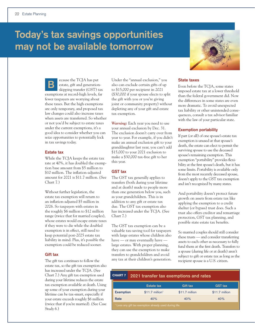# **Today's tax savings opportunities may not be available tomorrow**



ecause the TCJA has put estate, gift and generationskipping transfer (GST) tax exemptions at record-high levels, far fewer taxpayers are worrying about these taxes. But the high exemptions are only temporary, and proposed tax law changes could also increase taxes when assets are transferred. So whether or not you'd be subject to estate taxes under the current exemptions, it's a good idea to consider whether you can seize opportunities to potentially lock in tax savings today. **B**

#### **Estate tax**

While the TCJA keeps the estate tax rate at 40%, it has doubled the exemption base amount from \$5 million to \$10 million. The inflation-adjusted amount for 2021 is \$11.7 million. (See Chart 7.)

Without further legislation, the estate tax exemption will return to an inflation-adjusted \$5 million in 2026. So taxpayers with estates in the roughly \$6 million to \$12 million range (twice that for married couples), whose estates would escape estate taxes if they were to die while the doubled exemption is in effect, still need to keep potential post-2025 estate tax liability in mind. Plus, it's possible the exemption could be reduced sooner.

### **Gift tax**

The gift tax continues to follow the estate tax, so the gift tax exemption also has increased under the TCJA. (See Chart 7.) Any gift tax exemption used during your lifetime reduces the estate tax exemption available at death. Using up some of your exemption during your lifetime can be tax-smart, especially if your estate exceeds roughly \$6 million (twice that if you're married). (See Case Study 6.)

Under the "annual exclusion," you also can exclude certain gifts of up to \$15,000 per recipient in 2021 (\$30,000 if your spouse elects to split the gift with you or you're giving joint or community property) without depleting any of your gift and estate tax exemption.

*Warning:* Each year you need to use your annual exclusion by Dec. 31. The exclusion doesn't carry over from year to year. For example, if you didn't make an annual exclusion gift to your granddaughter last year, you can't add \$15,000 to your 2021 exclusion to make a \$30,000 tax-free gift to her this year.

### **GST tax**

The GST tax generally applies to transfers (both during your lifetime and at death) made to people more than one generation below you, such as your grandchildren. This is in addition to any gift or estate tax due. The GST tax exemption also has increased under the TCJA. (See Chart 7.)

The GST tax exemption can be a valuable tax-saving tool for taxpayers with large estates whose children also have — or may eventually have large estates. With proper planning, they can use the exemption to make transfers to grandchildren and avoid any tax at their children's generation.

#### **State taxes**

Even before the TCJA, some states imposed estate tax at a lower threshold than the federal government did. Now the differences in some states are even more dramatic. To avoid unexpected tax liability or other unintended consequences, consult a tax advisor familiar with the law of your particular state.

#### **Exemption portability**

If part (or all) of one spouse's estate tax exemption is unused at that spouse's death, the estate can elect to permit the surviving spouse to use the deceased spouse's remaining exemption. This exemption "portability" provides flexibility at the first spouse's death, but it has some limits. Portability is available only from the most recently deceased spouse, doesn't apply to the GST tax exemption and isn't recognized by many states.

And portability doesn't protect future growth on assets from estate tax like applying the exemption to a credit shelter (or bypass) trust does. Such a trust also offers creditor and remarriage protection, GST tax planning, and possible state estate tax benefits.

So married couples should still consider these trusts — and consider transferring assets to each other as necessary to fully fund them at the first death. Transfers to a spouse (during life or at death) aren't subject to gift or estate tax as long as the recipient spouse is a U.S. citizen.

# **2021 transfer tax exemptions and rates**

|                                                                    | <b>Estate tax</b>            | Gift tax        | <b>GST tax</b>  |
|--------------------------------------------------------------------|------------------------------|-----------------|-----------------|
| <b>Exemption</b>                                                   | $$11.7$ million <sup>1</sup> | $$11.7$ million | $$11.7$ million |
| 40%<br>Rate<br>40%<br>40%                                          |                              |                 |                 |
| <sup>1</sup> Less any gift tax exemption already used during life. |                              |                 |                 |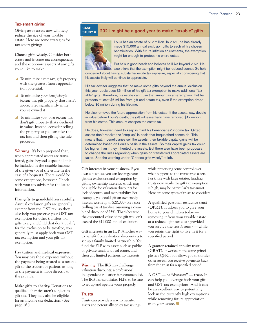#### **Tax-smart giving**

Giving away assets now will help reduce the size of your taxable estate. Here are some strategies for tax-smart giving:

**Choose gifts wisely.** Consider both estate and income tax consequences and the economic aspects of any gifts you'd like to make:

- ▲ To minimize *estate tax*, gift property with the greatest future appreciation potential.
- y To minimize *your beneficiary's income tax*, gift property that hasn't appreciated significantly while you've owned it.
- y To minimize *your own income tax*, don't gift property that's declined in value. Instead, consider selling the property so you can take the tax loss and then gifting the sale proceeds.

*Warning:* It's been proposed that, when appreciated assets are transferred, gains beyond a specific limit be included in the taxable income of the giver (or of the estate in the case of a bequest). There would be some exceptions, however. Check with your tax advisor for the latest information.

### **Plan gifts to grandchildren carefully.**

Annual exclusion gifts are generally exempt from the GST tax, so they also help you preserve your GST tax exemption for other transfers. For gifts to a grandchild that don't qualify for the exclusion to be tax-free, you generally must apply both your GST tax exemption and your gift tax exemption.

#### **Pay tuition and medical expenses.**

You may pay these expenses without the payment being treated as a taxable gift to the student or patient, as long as the payment is made directly to the provider.

**Make gifts to charity.** Donations to qualified charities aren't subject to gift tax. They may also be eligible for an income tax deduction. (See page 16.)

#### **2021 might be a good year to make "taxable" gifts** CASE STUDY 6



Louis has an estate of \$12 million. In 2021, he has already made \$15,000 annual exclusion gifts to each of his chosen beneficiaries. With future inflation adjustments, the exemption might be enough to protect his entire estate.

But he's in good health and believes he'll live beyond 2025. He also thinks that the exemption might be reduced sooner. So he's

concerned about having substantial estate tax exposure, especially considering that his assets likely will continue to appreciate.

His tax advisor suggests that he make some gifts beyond the annual exclusion this year. Louis uses \$6 million of his gift tax exemption to make additional "taxable" gifts. Therefore, his estate can't use that amount as an exemption. But he protects at least \$6 million from gift and estate tax, even if the exemption drops below \$6 million during his lifetime.

He also removes the future appreciation from his estate. If the assets, say, double in value before Louis's death, the gift will essentially have removed \$12 million from his estate. This amount escapes the estate tax.

He does, however, need to keep in mind his beneficiaries' income tax. Gifted assets don't receive the "step-up" in basis that bequeathed assets do. This means that, if beneficiaries sell the assets, their taxable capital gains will be determined based on Louis's basis in the assets. So their capital gains tax could be higher than if they inherited the assets. But there also have been proposals to change the rules regarding when gains on transferred appreciated assets are taxed. See the warning under "Choose gifts wisely" at left.

**Gift interests in your business.** If you own a business, you can leverage your gift tax exclusions and exemption by gifting ownership interests, which may be eligible for valuation discounts for lack of control and marketability. For example, you could gift an ownership interest worth up to \$20,000 (on a controlling basis) tax-free, assuming a combined discount of 25%. That's because the discounted value of the gift wouldn't exceed the \$15,000 annual exclusion.

**Gift interests in an FLP.** Another way to benefit from valuation discounts is to set up a family limited partnership. You fund the FLP with assets such as public or private stock and real estate, and then gift limited partnership interests.

*Warning:* The IRS may challenge valuation discounts; a professional, independent valuation is recommended. The IRS also scrutinizes FLPs, so be sure to set up and operate yours properly.

#### **Trusts**

Trusts can provide a way to transfer assets and potentially enjoy tax savings

while preserving some control over what happens to the transferred assets. For those with large estates, funding trusts now, while the gift tax exemption is high, may be particularly tax-smart. Here are some types of trusts to consider:

**A qualified personal residence trust (QPRT).** It allows you to give your home to your children today removing it from your taxable estate at a reduced gift tax cost (provided you survive the trust's term) — while you retain the right to live in it for a specified period.

**A grantor-retained annuity trust (GRAT).** It works on the same principle as a QPRT, but allows you to transfer other assets; you receive payments back from the trust for a specified period.

**A GST — or "dynasty" — trust.** It can help you leverage both your gift and GST tax exemptions. And it can be an excellent way to potentially lock in the currently high exemptions while removing future appreciation from your estate.